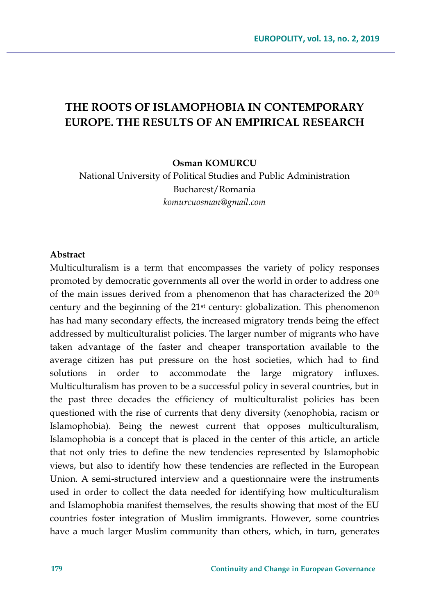# **THE ROOTS OF ISLAMOPHOBIA IN CONTEMPORARY EUROPE. THE RESULTS OF AN EMPIRICAL RESEARCH**

**Osman KOMURCU**

National University of Political Studies and Public Administration Bucharest/Romania *komurcuosman@gmail.com*

#### **Abstract**

Multiculturalism is a term that encompasses the variety of policy responses promoted by democratic governments all over the world in order to address one of the main issues derived from a phenomenon that has characterized the 20th century and the beginning of the 21st century: globalization. This phenomenon has had many secondary effects, the increased migratory trends being the effect addressed by multiculturalist policies. The larger number of migrants who have taken advantage of the faster and cheaper transportation available to the average citizen has put pressure on the host societies, which had to find solutions in order to accommodate the large migratory influxes. Multiculturalism has proven to be a successful policy in several countries, but in the past three decades the efficiency of multiculturalist policies has been questioned with the rise of currents that deny diversity (xenophobia, racism or Islamophobia). Being the newest current that opposes multiculturalism, Islamophobia is a concept that is placed in the center of this article, an article that not only tries to define the new tendencies represented by Islamophobic views, but also to identify how these tendencies are reflected in the European Union. A semi-structured interview and a questionnaire were the instruments used in order to collect the data needed for identifying how multiculturalism and Islamophobia manifest themselves, the results showing that most of the EU countries foster integration of Muslim immigrants. However, some countries have a much larger Muslim community than others, which, in turn, generates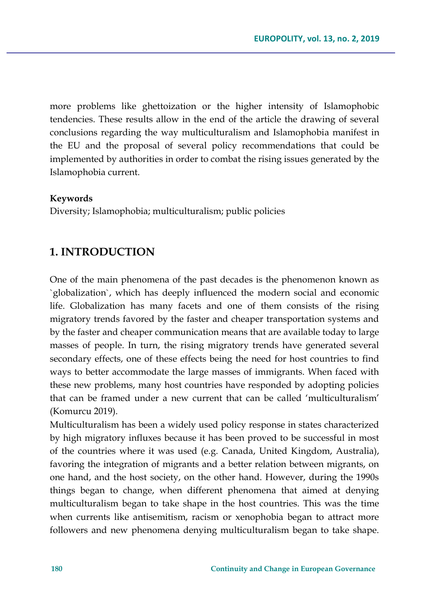more problems like ghettoization or the higher intensity of Islamophobic tendencies. These results allow in the end of the article the drawing of several conclusions regarding the way multiculturalism and Islamophobia manifest in the EU and the proposal of several policy recommendations that could be implemented by authorities in order to combat the rising issues generated by the Islamophobia current.

#### **Keywords**

Diversity; Islamophobia; multiculturalism; public policies

# **1. INTRODUCTION**

One of the main phenomena of the past decades is the phenomenon known as `globalization`, which has deeply influenced the modern social and economic life. Globalization has many facets and one of them consists of the rising migratory trends favored by the faster and cheaper transportation systems and by the faster and cheaper communication means that are available today to large masses of people. In turn, the rising migratory trends have generated several secondary effects, one of these effects being the need for host countries to find ways to better accommodate the large masses of immigrants. When faced with these new problems, many host countries have responded by adopting policies that can be framed under a new current that can be called 'multiculturalism' (Komurcu 2019).

Multiculturalism has been a widely used policy response in states characterized by high migratory influxes because it has been proved to be successful in most of the countries where it was used (e.g. Canada, United Kingdom, Australia), favoring the integration of migrants and a better relation between migrants, on one hand, and the host society, on the other hand. However, during the 1990s things began to change, when different phenomena that aimed at denying multiculturalism began to take shape in the host countries. This was the time when currents like antisemitism, racism or xenophobia began to attract more followers and new phenomena denying multiculturalism began to take shape.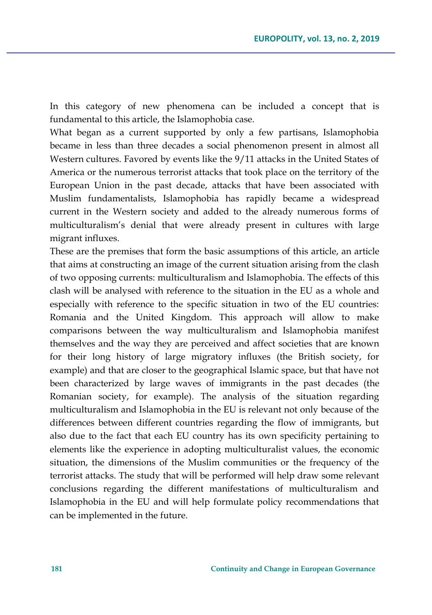In this category of new phenomena can be included a concept that is fundamental to this article, the Islamophobia case.

What began as a current supported by only a few partisans, Islamophobia became in less than three decades a social phenomenon present in almost all Western cultures. Favored by events like the 9/11 attacks in the United States of America or the numerous terrorist attacks that took place on the territory of the European Union in the past decade, attacks that have been associated with Muslim fundamentalists, Islamophobia has rapidly became a widespread current in the Western society and added to the already numerous forms of multiculturalism's denial that were already present in cultures with large migrant influxes.

These are the premises that form the basic assumptions of this article, an article that aims at constructing an image of the current situation arising from the clash of two opposing currents: multiculturalism and Islamophobia. The effects of this clash will be analysed with reference to the situation in the EU as a whole and especially with reference to the specific situation in two of the EU countries: Romania and the United Kingdom. This approach will allow to make comparisons between the way multiculturalism and Islamophobia manifest themselves and the way they are perceived and affect societies that are known for their long history of large migratory influxes (the British society, for example) and that are closer to the geographical Islamic space, but that have not been characterized by large waves of immigrants in the past decades (the Romanian society, for example). The analysis of the situation regarding multiculturalism and Islamophobia in the EU is relevant not only because of the differences between different countries regarding the flow of immigrants, but also due to the fact that each EU country has its own specificity pertaining to elements like the experience in adopting multiculturalist values, the economic situation, the dimensions of the Muslim communities or the frequency of the terrorist attacks. The study that will be performed will help draw some relevant conclusions regarding the different manifestations of multiculturalism and Islamophobia in the EU and will help formulate policy recommendations that can be implemented in the future.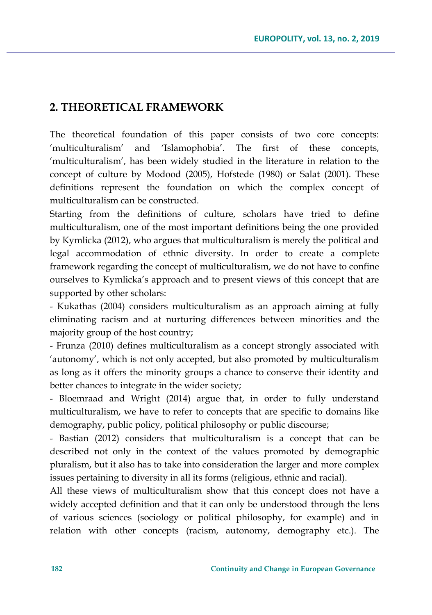## **2. THEORETICAL FRAMEWORK**

The theoretical foundation of this paper consists of two core concepts: 'multiculturalism' and 'Islamophobia'. The first of these concepts, 'multiculturalism', has been widely studied in the literature in relation to the concept of culture by Modood (2005), Hofstede (1980) or Salat (2001). These definitions represent the foundation on which the complex concept of multiculturalism can be constructed.

Starting from the definitions of culture, scholars have tried to define multiculturalism, one of the most important definitions being the one provided by Kymlicka (2012), who argues that multiculturalism is merely the political and legal accommodation of ethnic diversity. In order to create a complete framework regarding the concept of multiculturalism, we do not have to confine ourselves to Kymlicka's approach and to present views of this concept that are supported by other scholars:

- Kukathas (2004) considers multiculturalism as an approach aiming at fully eliminating racism and at nurturing differences between minorities and the majority group of the host country;

- Frunza (2010) defines multiculturalism as a concept strongly associated with 'autonomy', which is not only accepted, but also promoted by multiculturalism as long as it offers the minority groups a chance to conserve their identity and better chances to integrate in the wider society;

- Bloemraad and Wright (2014) argue that, in order to fully understand multiculturalism, we have to refer to concepts that are specific to domains like demography, public policy, political philosophy or public discourse;

- Bastian (2012) considers that multiculturalism is a concept that can be described not only in the context of the values promoted by demographic pluralism, but it also has to take into consideration the larger and more complex issues pertaining to diversity in all its forms (religious, ethnic and racial).

All these views of multiculturalism show that this concept does not have a widely accepted definition and that it can only be understood through the lens of various sciences (sociology or political philosophy, for example) and in relation with other concepts (racism, autonomy, demography etc.). The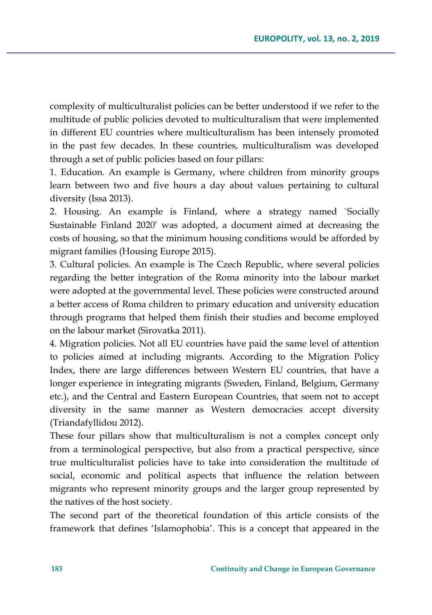complexity of multiculturalist policies can be better understood if we refer to the multitude of public policies devoted to multiculturalism that were implemented in different EU countries where multiculturalism has been intensely promoted in the past few decades. In these countries, multiculturalism was developed through a set of public policies based on four pillars:

1. Education. An example is Germany, where children from minority groups learn between two and five hours a day about values pertaining to cultural diversity (Issa 2013).

2. Housing. An example is Finland, where a strategy named `Socially Sustainable Finland 2020' was adopted, a document aimed at decreasing the costs of housing, so that the minimum housing conditions would be afforded by migrant families (Housing Europe 2015).

3. Cultural policies. An example is The Czech Republic, where several policies regarding the better integration of the Roma minority into the labour market were adopted at the governmental level. These policies were constructed around a better access of Roma children to primary education and university education through programs that helped them finish their studies and become employed on the labour market (Sirovatka 2011).

4. Migration policies. Not all EU countries have paid the same level of attention to policies aimed at including migrants. According to the Migration Policy Index, there are large differences between Western EU countries, that have a longer experience in integrating migrants (Sweden, Finland, Belgium, Germany etc.), and the Central and Eastern European Countries, that seem not to accept diversity in the same manner as Western democracies accept diversity (Triandafyllidou 2012).

These four pillars show that multiculturalism is not a complex concept only from a terminological perspective, but also from a practical perspective, since true multiculturalist policies have to take into consideration the multitude of social, economic and political aspects that influence the relation between migrants who represent minority groups and the larger group represented by the natives of the host society.

The second part of the theoretical foundation of this article consists of the framework that defines 'Islamophobia'. This is a concept that appeared in the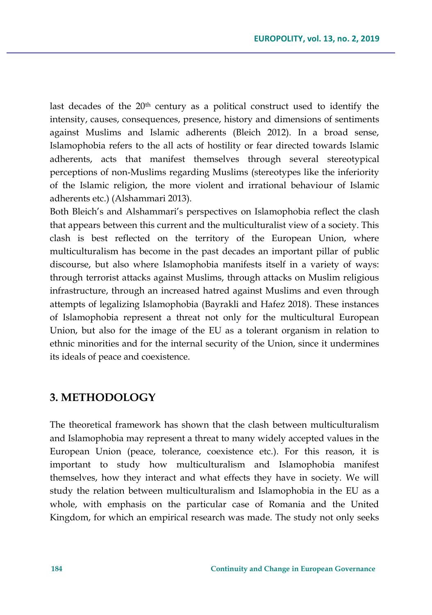last decades of the  $20<sup>th</sup>$  century as a political construct used to identify the intensity, causes, consequences, presence, history and dimensions of sentiments against Muslims and Islamic adherents (Bleich 2012). In a broad sense, Islamophobia refers to the all acts of hostility or fear directed towards Islamic adherents, acts that manifest themselves through several stereotypical perceptions of non-Muslims regarding Muslims (stereotypes like the inferiority of the Islamic religion, the more violent and irrational behaviour of Islamic adherents etc.) (Alshammari 2013).

Both Bleich's and Alshammari's perspectives on Islamophobia reflect the clash that appears between this current and the multiculturalist view of a society. This clash is best reflected on the territory of the European Union, where multiculturalism has become in the past decades an important pillar of public discourse, but also where Islamophobia manifests itself in a variety of ways: through terrorist attacks against Muslims, through attacks on Muslim religious infrastructure, through an increased hatred against Muslims and even through attempts of legalizing Islamophobia (Bayrakli and Hafez 2018). These instances of Islamophobia represent a threat not only for the multicultural European Union, but also for the image of the EU as a tolerant organism in relation to ethnic minorities and for the internal security of the Union, since it undermines its ideals of peace and coexistence.

### **3. METHODOLOGY**

The theoretical framework has shown that the clash between multiculturalism and Islamophobia may represent a threat to many widely accepted values in the European Union (peace, tolerance, coexistence etc.). For this reason, it is important to study how multiculturalism and Islamophobia manifest themselves, how they interact and what effects they have in society. We will study the relation between multiculturalism and Islamophobia in the EU as a whole, with emphasis on the particular case of Romania and the United Kingdom, for which an empirical research was made. The study not only seeks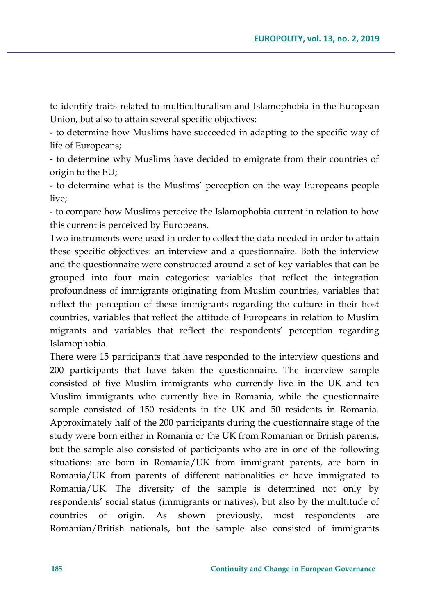to identify traits related to multiculturalism and Islamophobia in the European Union, but also to attain several specific objectives:

- to determine how Muslims have succeeded in adapting to the specific way of life of Europeans;

- to determine why Muslims have decided to emigrate from their countries of origin to the EU;

- to determine what is the Muslims' perception on the way Europeans people live;

- to compare how Muslims perceive the Islamophobia current in relation to how this current is perceived by Europeans.

Two instruments were used in order to collect the data needed in order to attain these specific objectives: an interview and a questionnaire. Both the interview and the questionnaire were constructed around a set of key variables that can be grouped into four main categories: variables that reflect the integration profoundness of immigrants originating from Muslim countries, variables that reflect the perception of these immigrants regarding the culture in their host countries, variables that reflect the attitude of Europeans in relation to Muslim migrants and variables that reflect the respondents' perception regarding Islamophobia.

There were 15 participants that have responded to the interview questions and 200 participants that have taken the questionnaire. The interview sample consisted of five Muslim immigrants who currently live in the UK and ten Muslim immigrants who currently live in Romania, while the questionnaire sample consisted of 150 residents in the UK and 50 residents in Romania. Approximately half of the 200 participants during the questionnaire stage of the study were born either in Romania or the UK from Romanian or British parents, but the sample also consisted of participants who are in one of the following situations: are born in Romania/UK from immigrant parents, are born in Romania/UK from parents of different nationalities or have immigrated to Romania/UK. The diversity of the sample is determined not only by respondents' social status (immigrants or natives), but also by the multitude of countries of origin. As shown previously, most respondents are Romanian/British nationals, but the sample also consisted of immigrants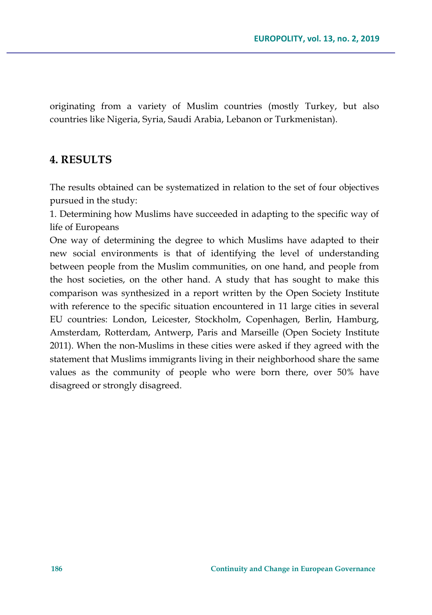originating from a variety of Muslim countries (mostly Turkey, but also countries like Nigeria, Syria, Saudi Arabia, Lebanon or Turkmenistan).

### **4. RESULTS**

The results obtained can be systematized in relation to the set of four objectives pursued in the study:

1. Determining how Muslims have succeeded in adapting to the specific way of life of Europeans

One way of determining the degree to which Muslims have adapted to their new social environments is that of identifying the level of understanding between people from the Muslim communities, on one hand, and people from the host societies, on the other hand. A study that has sought to make this comparison was synthesized in a report written by the Open Society Institute with reference to the specific situation encountered in 11 large cities in several EU countries: London, Leicester, Stockholm, Copenhagen, Berlin, Hamburg, Amsterdam, Rotterdam, Antwerp, Paris and Marseille (Open Society Institute 2011). When the non-Muslims in these cities were asked if they agreed with the statement that Muslims immigrants living in their neighborhood share the same values as the community of people who were born there, over 50% have disagreed or strongly disagreed.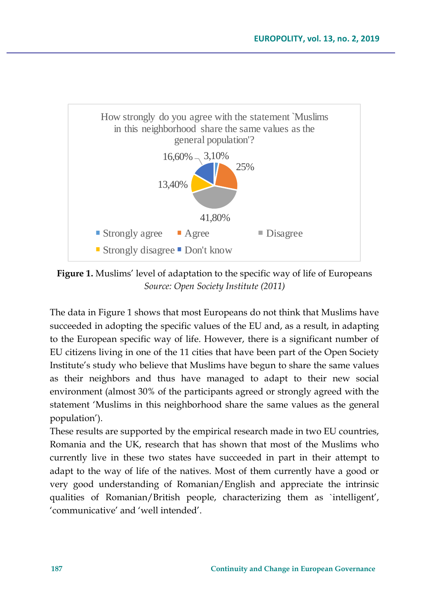

**Figure 1.** Muslims' level of adaptation to the specific way of life of Europeans *Source: Open Society Institute (2011)*

**18.40%**<br> **13.40%**<br> **13.40%**<br> **13.40%**<br> **13.40%**<br> **13.60%**<br> **188 Continuity and Continuity and Change in Division Critical Singree 3, Division Continuity Sevel of a deptation to the specific way of life of Europeans Sour** The data in Figure 1 shows that most Europeans do not think that Muslims have succeeded in adopting the specific values of the EU and, as a result, in adapting to the European specific way of life. However, there is a significant number of EU citizens living in one of the 11 cities that have been part of the Open Society Institute's study who believe that Muslims have begun to share the same values as their neighbors and thus have managed to adapt to their new social environment (almost 30% of the participants agreed or strongly agreed with the statement 'Muslims in this neighborhood share the same values as the general population').

These results are supported by the empirical research made in two EU countries, Romania and the UK, research that has shown that most of the Muslims who currently live in these two states have succeeded in part in their attempt to adapt to the way of life of the natives. Most of them currently have a good or very good understanding of Romanian/English and appreciate the intrinsic qualities of Romanian/British people, characterizing them as `intelligent', 'communicative' and 'well intended'.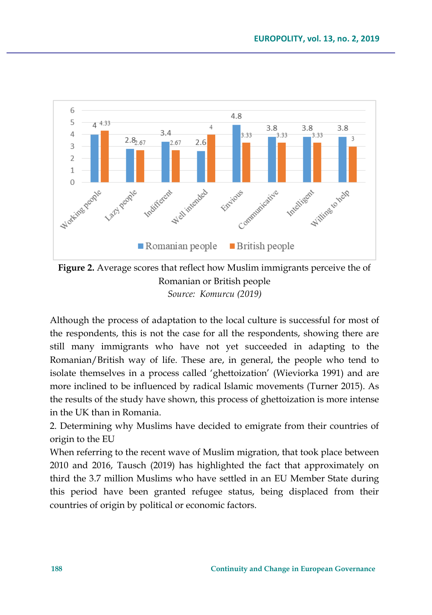

**Figure 2.** Average scores that reflect how Muslim immigrants perceive the of Romanian or British people *Source: Komurcu (2019)*

Although the process of adaptation to the local culture is successful for most of the respondents, this is not the case for all the respondents, showing there are still many immigrants who have not yet succeeded in adapting to the Romanian/British way of life. These are, in general, the people who tend to isolate themselves in a process called 'ghettoization' (Wieviorka 1991) and are more inclined to be influenced by radical Islamic movements (Turner 2015). As the results of the study have shown, this process of ghettoization is more intense in the UK than in Romania.

2. Determining why Muslims have decided to emigrate from their countries of origin to the EU

When referring to the recent wave of Muslim migration, that took place between 2010 and 2016, Tausch (2019) has highlighted the fact that approximately on third the 3.7 million Muslims who have settled in an EU Member State during this period have been granted refugee status, being displaced from their countries of origin by political or economic factors.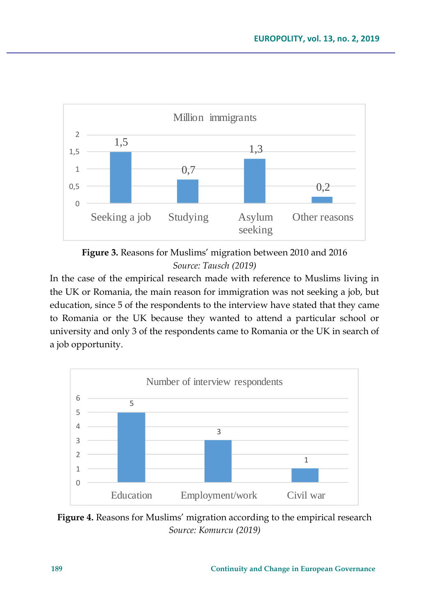



In the case of the empirical research made with reference to Muslims living in the UK or Romania, the main reason for immigration was not seeking a job, but education, since 5 of the respondents to the interview have stated that they came to Romania or the UK because they wanted to attend a particular school or university and only 3 of the respondents came to Romania or the UK in search of a job opportunity.



**Figure 4.** Reasons for Muslims' migration according to the empirical research *Source: Komurcu (2019)*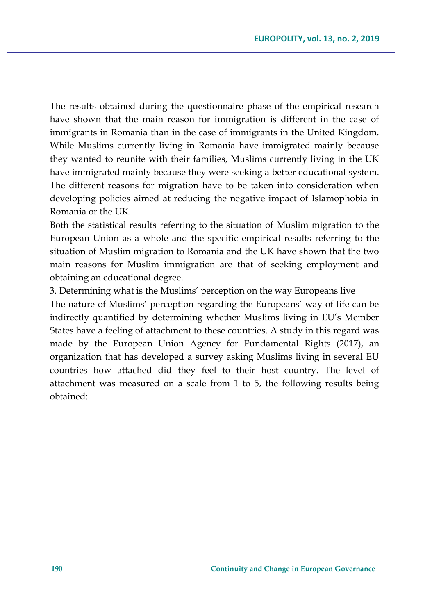The results obtained during the questionnaire phase of the empirical research have shown that the main reason for immigration is different in the case of immigrants in Romania than in the case of immigrants in the United Kingdom. While Muslims currently living in Romania have immigrated mainly because they wanted to reunite with their families, Muslims currently living in the UK have immigrated mainly because they were seeking a better educational system. The different reasons for migration have to be taken into consideration when developing policies aimed at reducing the negative impact of Islamophobia in Romania or the UK.

Both the statistical results referring to the situation of Muslim migration to the European Union as a whole and the specific empirical results referring to the situation of Muslim migration to Romania and the UK have shown that the two main reasons for Muslim immigration are that of seeking employment and obtaining an educational degree.

3. Determining what is the Muslims' perception on the way Europeans live

The nature of Muslims' perception regarding the Europeans' way of life can be indirectly quantified by determining whether Muslims living in EU's Member States have a feeling of attachment to these countries. A study in this regard was made by the European Union Agency for Fundamental Rights (2017), an organization that has developed a survey asking Muslims living in several EU countries how attached did they feel to their host country. The level of attachment was measured on a scale from 1 to 5, the following results being obtained: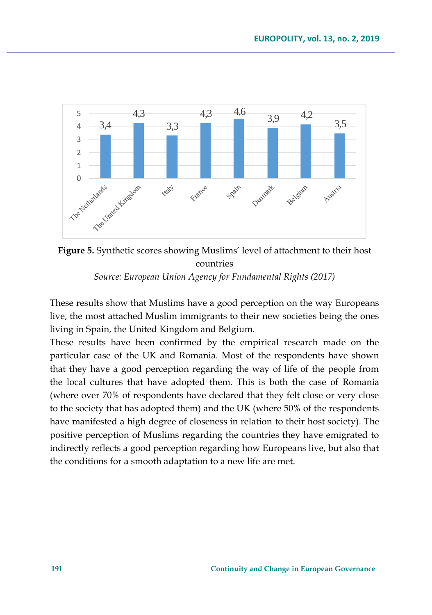



These results show that Muslims have a good perception on the way Europeans live, the most attached Muslim immigrants to their new societies being the ones living in Spain, the United Kingdom and Belgium.

These results have been confirmed by the empirical research made on the particular case of the UK and Romania. Most of the respondents have shown that they have a good perception regarding the way of life of the people from the local cultures that have adopted them. This is both the case of Romania (where over 70% of respondents have declared that they felt close or very close to the society that has adopted them) and the UK (where 50% of the respondents have manifested a high degree of closeness in relation to their host society). The positive perception of Muslims regarding the countries they have emigrated to indirectly reflects a good perception regarding how Europeans live, but also that the conditions for a smooth adaptation to a new life are met.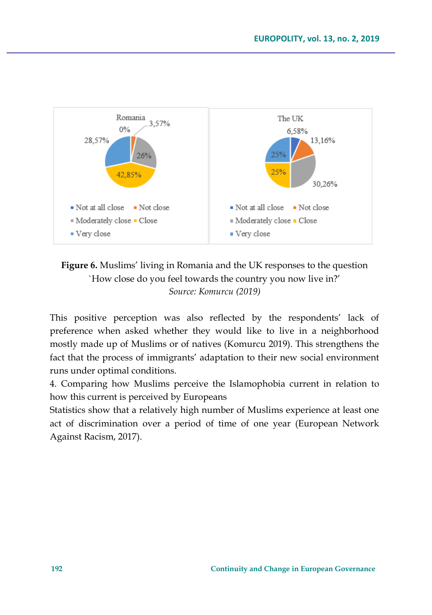

**Figure 6.** Muslims' living in Romania and the UK responses to the question `How close do you feel towards the country you now live in?' *Source: Komurcu (2019)*

This positive perception was also reflected by the respondents' lack of preference when asked whether they would like to live in a neighborhood mostly made up of Muslims or of natives (Komurcu 2019). This strengthens the fact that the process of immigrants' adaptation to their new social environment runs under optimal conditions.

4. Comparing how Muslims perceive the Islamophobia current in relation to how this current is perceived by Europeans

Statistics show that a relatively high number of Muslims experience at least one act of discrimination over a period of time of one year (European Network Against Racism, 2017).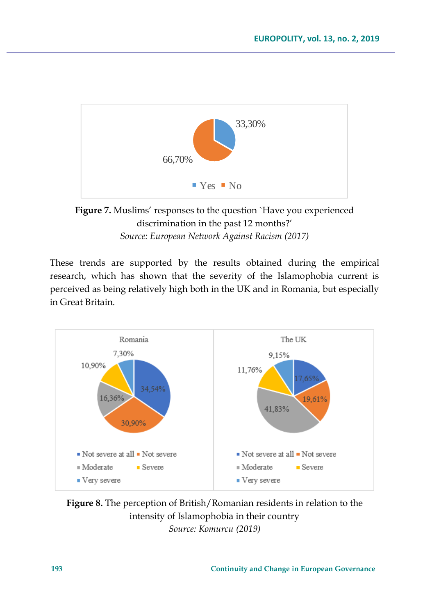

**Figure 7.** Muslims' responses to the question `Have you experienced discrimination in the past 12 months?' *Source: European Network Against Racism (2017)*

These trends are supported by the results obtained during the empirical research, which has shown that the severity of the Islamophobia current is perceived as being relatively high both in the UK and in Romania, but especially in Great Britain.



**Figure 8.** The perception of British/Romanian residents in relation to the intensity of Islamophobia in their country *Source: Komurcu (2019)*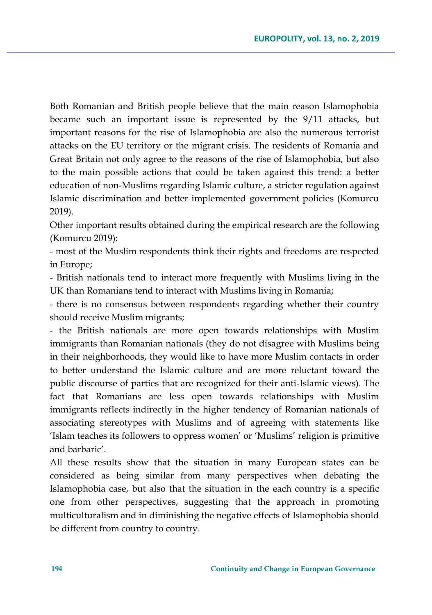Both Romanian and British people believe that the main reason Islamophobia became such an important issue is represented by the 9/11 attacks, but important reasons for the rise of Islamophobia are also the numerous terrorist attacks on the EU territory or the migrant crisis. The residents of Romania and Great Britain not only agree to the reasons of the rise of Islamophobia, but also to the main possible actions that could be taken against this trend: a better education of non-Muslims regarding Islamic culture, a stricter regulation against Islamic discrimination and better implemented government policies (Komurcu 2019).

Other important results obtained during the empirical research are the following (Komurcu 2019):

- most of the Muslim respondents think their rights and freedoms are respected in Europe;

- British nationals tend to interact more frequently with Muslims living in the UK than Romanians tend to interact with Muslims living in Romania;

- there is no consensus between respondents regarding whether their country should receive Muslim migrants;

- the British nationals are more open towards relationships with Muslim immigrants than Romanian nationals (they do not disagree with Muslims being in their neighborhoods, they would like to have more Muslim contacts in order to better understand the Islamic culture and are more reluctant toward the public discourse of parties that are recognized for their anti-Islamic views). The fact that Romanians are less open towards relationships with Muslim immigrants reflects indirectly in the higher tendency of Romanian nationals of associating stereotypes with Muslims and of agreeing with statements like 'Islam teaches its followers to oppress women' or 'Muslims' religion is primitive and barbaric'.

All these results show that the situation in many European states can be considered as being similar from many perspectives when debating the Islamophobia case, but also that the situation in the each country is a specific one from other perspectives, suggesting that the approach in promoting multiculturalism and in diminishing the negative effects of Islamophobia should be different from country to country.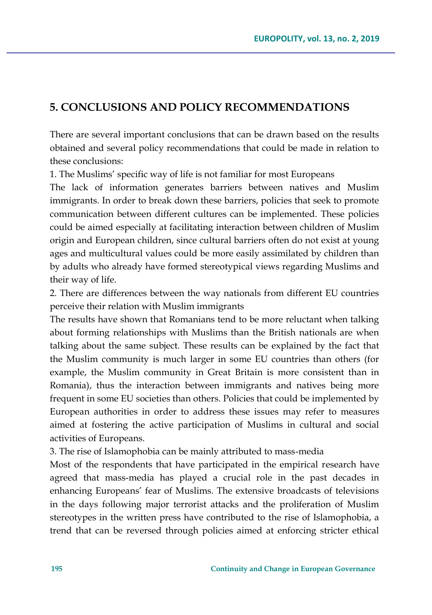# **5. CONCLUSIONS AND POLICY RECOMMENDATIONS**

There are several important conclusions that can be drawn based on the results obtained and several policy recommendations that could be made in relation to these conclusions:

1. The Muslims' specific way of life is not familiar for most Europeans

The lack of information generates barriers between natives and Muslim immigrants. In order to break down these barriers, policies that seek to promote communication between different cultures can be implemented. These policies could be aimed especially at facilitating interaction between children of Muslim origin and European children, since cultural barriers often do not exist at young ages and multicultural values could be more easily assimilated by children than by adults who already have formed stereotypical views regarding Muslims and their way of life.

2. There are differences between the way nationals from different EU countries perceive their relation with Muslim immigrants

The results have shown that Romanians tend to be more reluctant when talking about forming relationships with Muslims than the British nationals are when talking about the same subject. These results can be explained by the fact that the Muslim community is much larger in some EU countries than others (for example, the Muslim community in Great Britain is more consistent than in Romania), thus the interaction between immigrants and natives being more frequent in some EU societies than others. Policies that could be implemented by European authorities in order to address these issues may refer to measures aimed at fostering the active participation of Muslims in cultural and social activities of Europeans.

3. The rise of Islamophobia can be mainly attributed to mass-media

Most of the respondents that have participated in the empirical research have agreed that mass-media has played a crucial role in the past decades in enhancing Europeans' fear of Muslims. The extensive broadcasts of televisions in the days following major terrorist attacks and the proliferation of Muslim stereotypes in the written press have contributed to the rise of Islamophobia, a trend that can be reversed through policies aimed at enforcing stricter ethical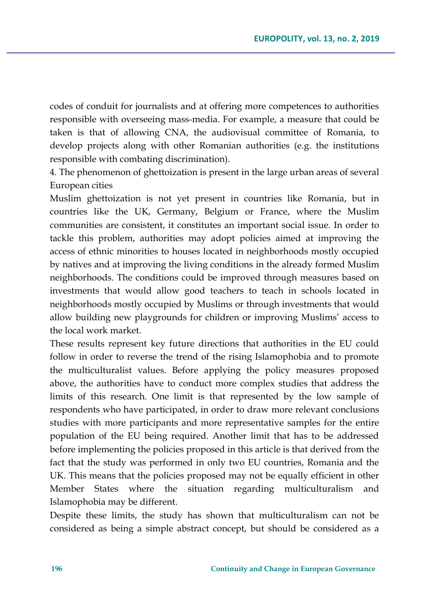codes of conduit for journalists and at offering more competences to authorities responsible with overseeing mass-media. For example, a measure that could be taken is that of allowing CNA, the audiovisual committee of Romania, to develop projects along with other Romanian authorities (e.g. the institutions responsible with combating discrimination).

4. The phenomenon of ghettoization is present in the large urban areas of several European cities

Muslim ghettoization is not yet present in countries like Romania, but in countries like the UK, Germany, Belgium or France, where the Muslim communities are consistent, it constitutes an important social issue. In order to tackle this problem, authorities may adopt policies aimed at improving the access of ethnic minorities to houses located in neighborhoods mostly occupied by natives and at improving the living conditions in the already formed Muslim neighborhoods. The conditions could be improved through measures based on investments that would allow good teachers to teach in schools located in neighborhoods mostly occupied by Muslims or through investments that would allow building new playgrounds for children or improving Muslims' access to the local work market.

These results represent key future directions that authorities in the EU could follow in order to reverse the trend of the rising Islamophobia and to promote the multiculturalist values. Before applying the policy measures proposed above, the authorities have to conduct more complex studies that address the limits of this research. One limit is that represented by the low sample of respondents who have participated, in order to draw more relevant conclusions studies with more participants and more representative samples for the entire population of the EU being required. Another limit that has to be addressed before implementing the policies proposed in this article is that derived from the fact that the study was performed in only two EU countries, Romania and the UK. This means that the policies proposed may not be equally efficient in other Member States where the situation regarding multiculturalism and Islamophobia may be different.

Despite these limits, the study has shown that multiculturalism can not be considered as being a simple abstract concept, but should be considered as a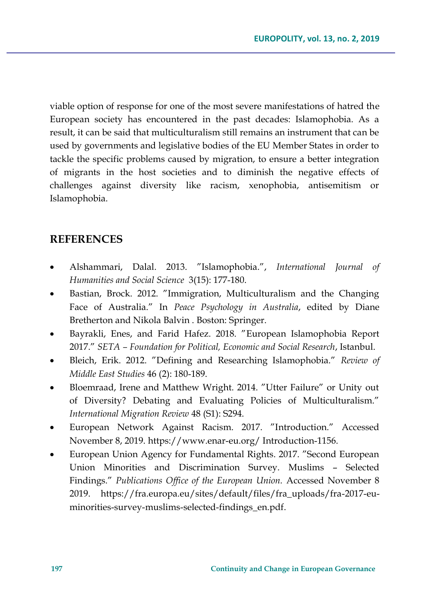viable option of response for one of the most severe manifestations of hatred the European society has encountered in the past decades: Islamophobia. As a result, it can be said that multiculturalism still remains an instrument that can be used by governments and legislative bodies of the EU Member States in order to tackle the specific problems caused by migration, to ensure a better integration of migrants in the host societies and to diminish the negative effects of challenges against diversity like racism, xenophobia, antisemitism or Islamophobia.

### **REFERENCES**

- Alshammari, Dalal. 2013. "Islamophobia.", *International Journal of Humanities and Social Science* 3(15): 177-180.
- Bastian, Brock. 2012. "Immigration, Multiculturalism and the Changing Face of Australia." In *Peace Psychology in Australia*, edited by Diane Bretherton and Nikola Balvin . Boston: Springer.
- Bayrakli, Enes, and Farid Hafez. 2018. "European Islamophobia Report 2017." *SETA – Foundation for Political, Economic and Social Research*, Istanbul.
- Bleich, Erik. 2012. "Defining and Researching Islamophobia." *Review of Middle East Studies* 46 (2): 180-189.
- Bloemraad, Irene and Matthew Wright. 2014. "Utter Failure" or Unity out of Diversity? Debating and Evaluating Policies of Multiculturalism." *International Migration Review* 48 (S1): S294.
- European Network Against Racism. 2017. "Introduction." Accessed November 8, 2019. [https://www.enar-eu.org/ Introduction-1156.](https://www.enar-eu.org/%20Introduction-1156)
- European Union Agency for Fundamental Rights. 2017. "Second European Union Minorities and Discrimination Survey. Muslims – Selected Findings." *Publications Office of the European Union.* Accessed November 8 2019. [https://fra.europa.eu/sites/default/files/fra\\_uploads/fra-2017-eu](https://fra.europa.eu/sites/default/files/fra_uploads/fra-2017-eu-minorities-survey-muslims-selected-findings_en.pdf)[minorities-survey-muslims-selected-findings\\_en.pdf.](https://fra.europa.eu/sites/default/files/fra_uploads/fra-2017-eu-minorities-survey-muslims-selected-findings_en.pdf)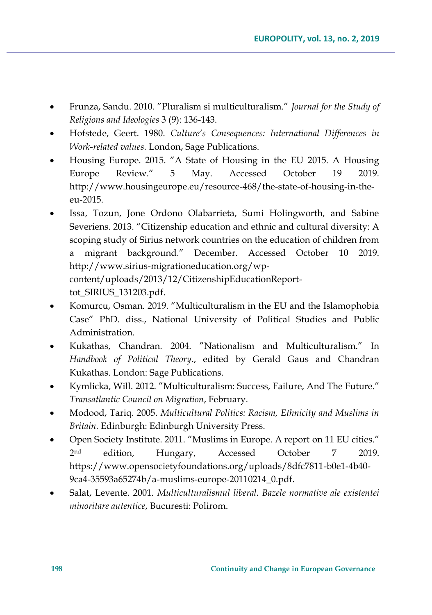- Frunza, Sandu. 2010. "Pluralism si multiculturalism." *Journal for the Study of Religions and Ideologies* 3 (9): 136-143.
- Hofstede, Geert. 1980. *Culture's Consequences: International Differences in Work-related values*. London, Sage Publications.
- Housing Europe. 2015. "A State of Housing in the EU 2015. A Housing Europe Review." 5 May. Accessed October 19 2019. [http://www.housingeurope.eu/resource-468/the-state-of-housing-in-the](http://www.housingeurope.eu/resource-468/the-state-of-housing-in-the-eu-2015)[eu-2015.](http://www.housingeurope.eu/resource-468/the-state-of-housing-in-the-eu-2015)
- Issa, Tozun, Jone Ordono Olabarrieta, Sumi Holingworth, and Sabine Severiens. 2013. "Citizenship education and ethnic and cultural diversity: A scoping study of Sirius network countries on the education of children from a migrant background." December. Accessed October 10 2019. [http://www.sirius-migrationeducation.org/wp](http://www.sirius-migrationeducation.org/wp-content/uploads/2013/12/CitizenshipEducationReport-tot_SIRIUS_131203.pdf)[content/uploads/2013/12/CitizenshipEducationReport](http://www.sirius-migrationeducation.org/wp-content/uploads/2013/12/CitizenshipEducationReport-tot_SIRIUS_131203.pdf)[tot\\_SIRIUS\\_131203.pdf.](http://www.sirius-migrationeducation.org/wp-content/uploads/2013/12/CitizenshipEducationReport-tot_SIRIUS_131203.pdf)
- Komurcu, Osman. 2019. "Multiculturalism in the EU and the Islamophobia Case" PhD. diss., National University of Political Studies and Public Administration.
- Kukathas, Chandran. 2004. "Nationalism and Multiculturalism." In *Handbook of Political Theory*., edited by Gerald Gaus and Chandran Kukathas. London: Sage Publications.
- Kymlicka, Will. 2012. "Multiculturalism: Success, Failure, And The Future." *Transatlantic Council on Migration*, February.
- Modood, Tariq. 2005. *Multicultural Politics: Racism, Ethnicity and Muslims in Britain*. Edinburgh: Edinburgh University Press.
- Open Society Institute. 2011. "Muslims in Europe. A report on 11 EU cities."  $2nd$ edition, Hungary, Accessed October 7 2019. [https://www.opensocietyfoundations.org/uploads/8dfc7811-b0e1-4b40-](https://www.opensocietyfoundations.org/uploads/8dfc7811-b0e1-4b40-9ca4-35593a65274b/a-muslims-europe-20110214_0.pdf) [9ca4-35593a65274b/a-muslims-europe-20110214\\_0.pdf.](https://www.opensocietyfoundations.org/uploads/8dfc7811-b0e1-4b40-9ca4-35593a65274b/a-muslims-europe-20110214_0.pdf)
- Salat, Levente. 2001. *Multiculturalismul liberal. Bazele normative ale existentei minoritare autentice*, Bucuresti: Polirom.